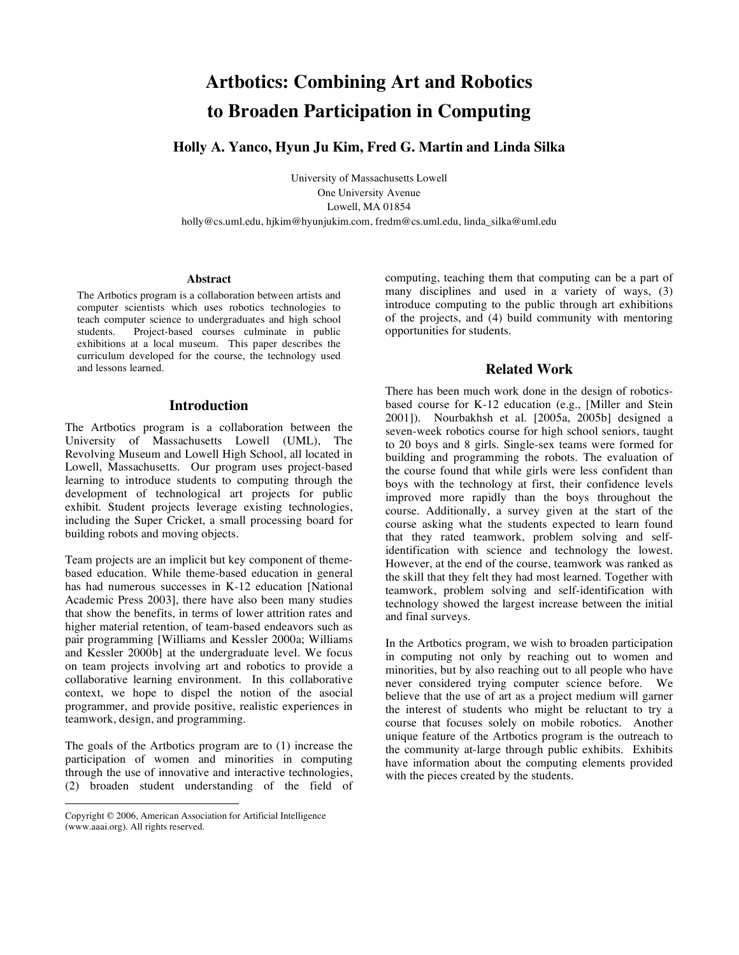# **Artbotics: Combining Art and Robotics to Broaden Participation in Computing**

**Holly A. Yanco, Hyun Ju Kim, Fred G. Martin and Linda Silka** 

University of Massachusetts Lowell One University Avenue Lowell, MA 01854 holly@cs.uml.edu, hjkim@hyunjukim.com, fredm@cs.uml.edu, linda\_silka@uml.edu

#### **Abstract**

The Artbotics program is a collaboration between artists and computer scientists which uses robotics technologies to teach computer science to undergraduates and high school Project-based courses culminate in public exhibitions at a local museum. This paper describes the curriculum developed for the course, the technology used and lessons learned.

## **Introduction**

The Artbotics program is a collaboration between the University of Massachusetts Lowell (UML), The Revolving Museum and Lowell High School, all located in Lowell, Massachusetts. Our program uses project-based learning to introduce students to computing through the development of technological art projects for public exhibit. Student projects leverage existing technologies, including the Super Cricket, a small processing board for building robots and moving objects.

Team projects are an implicit but key component of themebased education. While theme-based education in general has had numerous successes in K-12 education [National Academic Press 2003], there have also been many studies that show the benefits, in terms of lower attrition rates and higher material retention, of team-based endeavors such as pair programming [Williams and Kessler 2000a; Williams and Kessler 2000b] at the undergraduate level. We focus on team projects involving art and robotics to provide a collaborative learning environment. In this collaborative context, we hope to dispel the notion of the asocial programmer, and provide positive, realistic experiences in teamwork, design, and programming.

The goals of the Artbotics program are to (1) increase the participation of women and minorities in computing through the use of innovative and interactive technologies, (2) broaden student understanding of the field of

 $\overline{a}$ 

computing, teaching them that computing can be a part of many disciplines and used in a variety of ways, (3) introduce computing to the public through art exhibitions of the projects, and (4) build community with mentoring opportunities for students.

# **Related Work**

There has been much work done in the design of roboticsbased course for K-12 education (e.g., [Miller and Stein 2001]). Nourbakhsh et al. [2005a, 2005b] designed a seven-week robotics course for high school seniors, taught to 20 boys and 8 girls. Single-sex teams were formed for building and programming the robots. The evaluation of the course found that while girls were less confident than boys with the technology at first, their confidence levels improved more rapidly than the boys throughout the course. Additionally, a survey given at the start of the course asking what the students expected to learn found that they rated teamwork, problem solving and selfidentification with science and technology the lowest. However, at the end of the course, teamwork was ranked as the skill that they felt they had most learned. Together with teamwork, problem solving and self-identification with technology showed the largest increase between the initial and final surveys.

In the Artbotics program, we wish to broaden participation in computing not only by reaching out to women and minorities, but by also reaching out to all people who have never considered trying computer science before. We believe that the use of art as a project medium will garner the interest of students who might be reluctant to try a course that focuses solely on mobile robotics. Another unique feature of the Artbotics program is the outreach to the community at-large through public exhibits. Exhibits have information about the computing elements provided with the pieces created by the students.

Copyright © 2006, American Association for Artificial Intelligence (www.aaai.org). All rights reserved.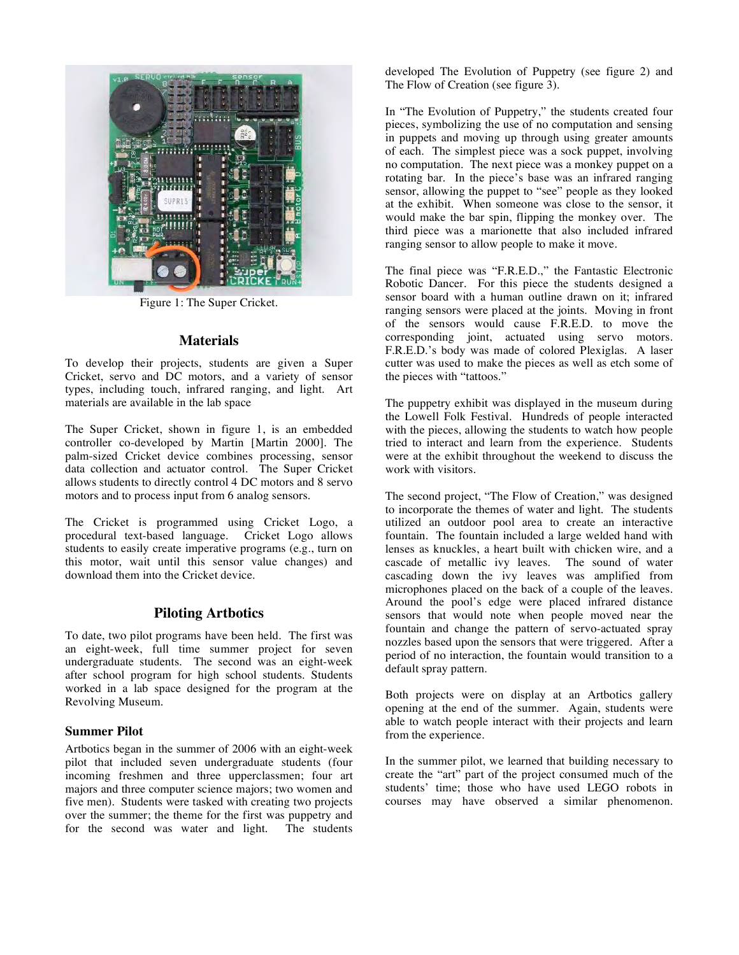

Figure 1: The Super Cricket.

## **Materials**

To develop their projects, students are given a Super Cricket, servo and DC motors, and a variety of sensor types, including touch, infrared ranging, and light. Art materials are available in the lab space

The Super Cricket, shown in figure 1, is an embedded controller co-developed by Martin [Martin 2000]. The palm-sized Cricket device combines processing, sensor data collection and actuator control. The Super Cricket allows students to directly control 4 DC motors and 8 servo motors and to process input from 6 analog sensors.

The Cricket is programmed using Cricket Logo, a procedural text-based language. Cricket Logo allows students to easily create imperative programs (e.g., turn on this motor, wait until this sensor value changes) and download them into the Cricket device.

## **Piloting Artbotics**

To date, two pilot programs have been held. The first was an eight-week, full time summer project for seven undergraduate students. The second was an eight-week after school program for high school students. Students worked in a lab space designed for the program at the Revolving Museum.

### **Summer Pilot**

Artbotics began in the summer of 2006 with an eight-week pilot that included seven undergraduate students (four incoming freshmen and three upperclassmen; four art majors and three computer science majors; two women and five men). Students were tasked with creating two projects over the summer; the theme for the first was puppetry and for the second was water and light. The students developed The Evolution of Puppetry (see figure 2) and The Flow of Creation (see figure 3).

In "The Evolution of Puppetry," the students created four pieces, symbolizing the use of no computation and sensing in puppets and moving up through using greater amounts of each. The simplest piece was a sock puppet, involving no computation. The next piece was a monkey puppet on a rotating bar. In the piece's base was an infrared ranging sensor, allowing the puppet to "see" people as they looked at the exhibit. When someone was close to the sensor, it would make the bar spin, flipping the monkey over. The third piece was a marionette that also included infrared ranging sensor to allow people to make it move.

The final piece was "F.R.E.D.," the Fantastic Electronic Robotic Dancer. For this piece the students designed a sensor board with a human outline drawn on it; infrared ranging sensors were placed at the joints. Moving in front of the sensors would cause F.R.E.D. to move the corresponding joint, actuated using servo motors. F.R.E.D.'s body was made of colored Plexiglas. A laser cutter was used to make the pieces as well as etch some of the pieces with "tattoos."

The puppetry exhibit was displayed in the museum during the Lowell Folk Festival. Hundreds of people interacted with the pieces, allowing the students to watch how people tried to interact and learn from the experience. Students were at the exhibit throughout the weekend to discuss the work with visitors.

The second project, "The Flow of Creation," was designed to incorporate the themes of water and light. The students utilized an outdoor pool area to create an interactive fountain. The fountain included a large welded hand with lenses as knuckles, a heart built with chicken wire, and a cascade of metallic ivy leaves. The sound of water cascading down the ivy leaves was amplified from microphones placed on the back of a couple of the leaves. Around the pool's edge were placed infrared distance sensors that would note when people moved near the fountain and change the pattern of servo-actuated spray nozzles based upon the sensors that were triggered. After a period of no interaction, the fountain would transition to a default spray pattern.

Both projects were on display at an Artbotics gallery opening at the end of the summer. Again, students were able to watch people interact with their projects and learn from the experience.

In the summer pilot, we learned that building necessary to create the "art" part of the project consumed much of the students' time; those who have used LEGO robots in courses may have observed a similar phenomenon.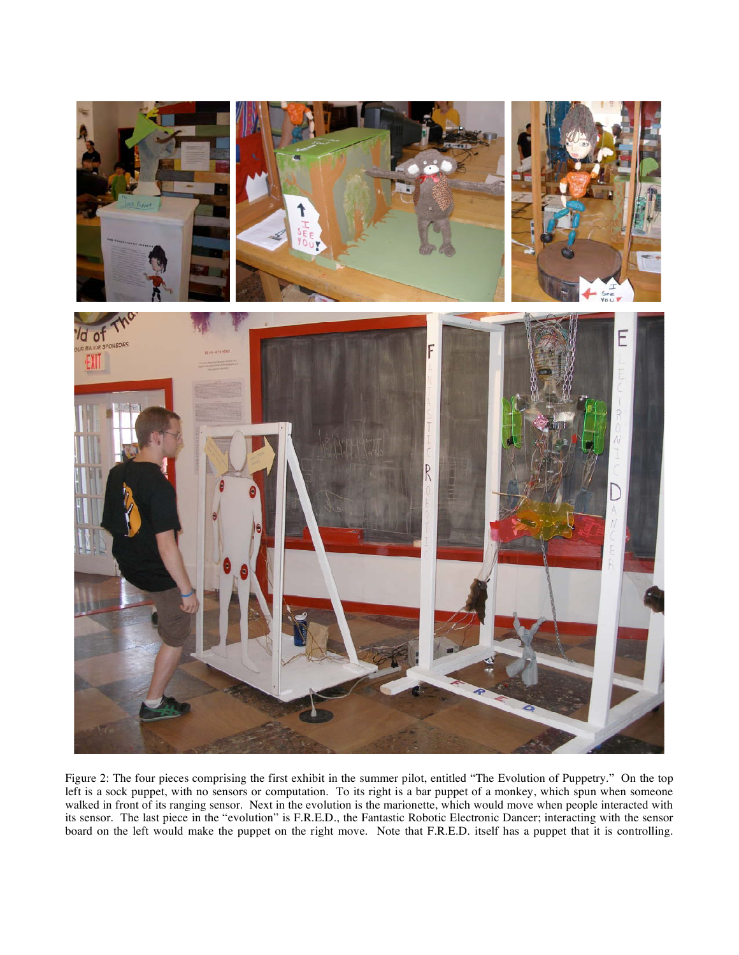

Figure 2: The four pieces comprising the first exhibit in the summer pilot, entitled "The Evolution of Puppetry." On the top left is a sock puppet, with no sensors or computation. To its right is a bar puppet of a monkey, which spun when someone walked in front of its ranging sensor. Next in the evolution is the marionette, which would move when people interacted with its sensor. The last piece in the "evolution" is F.R.E.D., the Fantastic Robotic Electronic Dancer; interacting with the sensor board on the left would make the puppet on the right move. Note that F.R.E.D. itself has a puppet that it is controlling.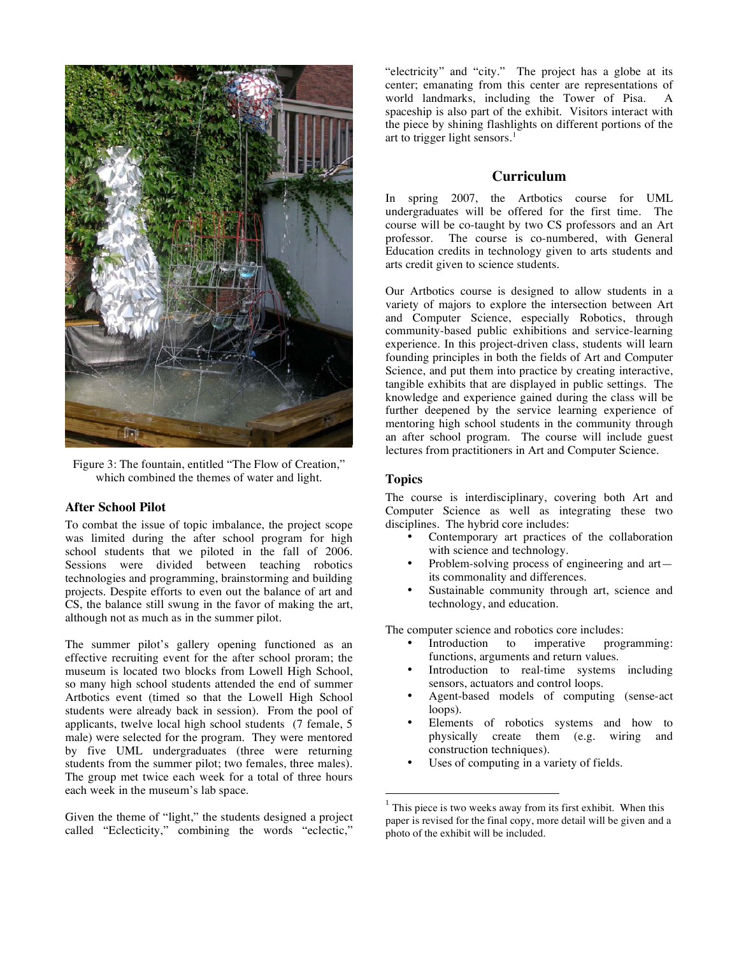

Figure 3: The fountain, entitled "The Flow of Creation," which combined the themes of water and light.

### **After School Pilot**

To combat the issue of topic imbalance, the project scope was limited during the after school program for high school students that we piloted in the fall of 2006. Sessions were divided between teaching robotics technologies and programming, brainstorming and building projects. Despite efforts to even out the balance of art and CS, the balance still swung in the favor of making the art, although not as much as in the summer pilot.

The summer pilot's gallery opening functioned as an effective recruiting event for the after school proram; the museum is located two blocks from Lowell High School, so many high school students attended the end of summer Artbotics event (timed so that the Lowell High School students were already back in session). From the pool of applicants, twelve local high school students (7 female, 5 male) were selected for the program. They were mentored by five UML undergraduates (three were returning students from the summer pilot; two females, three males). The group met twice each week for a total of three hours each week in the museum's lab space.

Given the theme of "light," the students designed a project called "Eclecticity," combining the words "eclectic,"

"electricity" and "city." The project has a globe at its center; emanating from this center are representations of world landmarks, including the Tower of Pisa. A spaceship is also part of the exhibit. Visitors interact with the piece by shining flashlights on different portions of the art to trigger light sensors.<sup>1</sup>

# **Curriculum**

In spring 2007, the Artbotics course for UML undergraduates will be offered for the first time. The course will be co-taught by two CS professors and an Art professor. The course is co-numbered, with General The course is co-numbered, with General Education credits in technology given to arts students and arts credit given to science students.

Our Artbotics course is designed to allow students in a variety of majors to explore the intersection between Art and Computer Science, especially Robotics, through community-based public exhibitions and service-learning experience. In this project-driven class, students will learn founding principles in both the fields of Art and Computer Science, and put them into practice by creating interactive, tangible exhibits that are displayed in public settings. The knowledge and experience gained during the class will be further deepened by the service learning experience of mentoring high school students in the community through an after school program. The course will include guest lectures from practitioners in Art and Computer Science.

## **Topics**

 $\overline{a}$ 

The course is interdisciplinary, covering both Art and Computer Science as well as integrating these two disciplines. The hybrid core includes:

- Contemporary art practices of the collaboration with science and technology.
- Problem-solving process of engineering and art its commonality and differences.
- Sustainable community through art, science and technology, and education.

The computer science and robotics core includes:<br>
• Introduction to imperative prog

- to imperative programming: functions, arguments and return values.
- Introduction to real-time systems including sensors, actuators and control loops.
- Agent-based models of computing (sense-act loops).
- Elements of robotics systems and how to physically create them (e.g. wiring and construction techniques).
- Uses of computing in a variety of fields.

 $1$  This piece is two weeks away from its first exhibit. When this paper is revised for the final copy, more detail will be given and a photo of the exhibit will be included.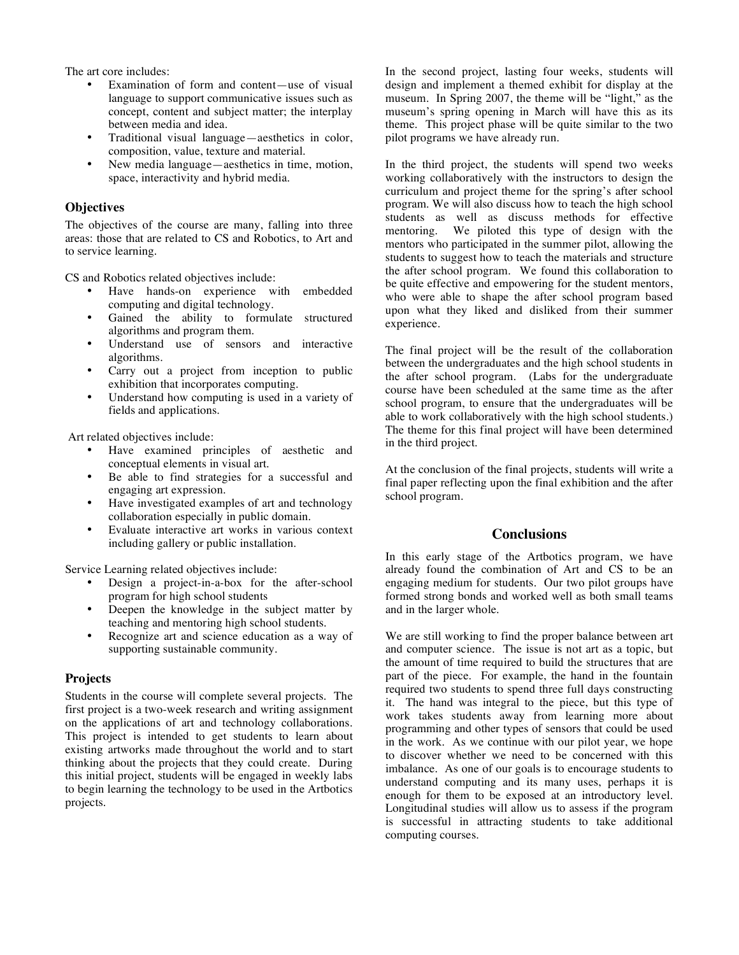The art core includes:

- Examination of form and content—use of visual language to support communicative issues such as concept, content and subject matter; the interplay between media and idea.
- Traditional visual language—aesthetics in color, composition, value, texture and material.
- New media language—aesthetics in time, motion, space, interactivity and hybrid media.

### **Objectives**

The objectives of the course are many, falling into three areas: those that are related to CS and Robotics, to Art and to service learning.

CS and Robotics related objectives include:

- Have hands-on experience with embedded computing and digital technology.
- Gained the ability to formulate structured algorithms and program them.
- Understand use of sensors and interactive algorithms.
- Carry out a project from inception to public exhibition that incorporates computing.
- Understand how computing is used in a variety of fields and applications.

Art related objectives include:

- Have examined principles of aesthetic and conceptual elements in visual art.
- Be able to find strategies for a successful and engaging art expression.
- Have investigated examples of art and technology collaboration especially in public domain.
- Evaluate interactive art works in various context including gallery or public installation.

Service Learning related objectives include:

- Design a project-in-a-box for the after-school program for high school students
- Deepen the knowledge in the subject matter by teaching and mentoring high school students.
- Recognize art and science education as a way of supporting sustainable community.

#### **Projects**

Students in the course will complete several projects. The first project is a two-week research and writing assignment on the applications of art and technology collaborations. This project is intended to get students to learn about existing artworks made throughout the world and to start thinking about the projects that they could create. During this initial project, students will be engaged in weekly labs to begin learning the technology to be used in the Artbotics projects.

In the second project, lasting four weeks, students will design and implement a themed exhibit for display at the museum. In Spring 2007, the theme will be "light," as the museum's spring opening in March will have this as its theme. This project phase will be quite similar to the two pilot programs we have already run.

In the third project, the students will spend two weeks working collaboratively with the instructors to design the curriculum and project theme for the spring's after school program. We will also discuss how to teach the high school students as well as discuss methods for effective mentoring. We piloted this type of design with the mentors who participated in the summer pilot, allowing the students to suggest how to teach the materials and structure the after school program. We found this collaboration to be quite effective and empowering for the student mentors, who were able to shape the after school program based upon what they liked and disliked from their summer experience.

The final project will be the result of the collaboration between the undergraduates and the high school students in the after school program. (Labs for the undergraduate course have been scheduled at the same time as the after school program, to ensure that the undergraduates will be able to work collaboratively with the high school students.) The theme for this final project will have been determined in the third project.

At the conclusion of the final projects, students will write a final paper reflecting upon the final exhibition and the after school program.

# **Conclusions**

In this early stage of the Artbotics program, we have already found the combination of Art and CS to be an engaging medium for students. Our two pilot groups have formed strong bonds and worked well as both small teams and in the larger whole.

We are still working to find the proper balance between art and computer science. The issue is not art as a topic, but the amount of time required to build the structures that are part of the piece. For example, the hand in the fountain required two students to spend three full days constructing it. The hand was integral to the piece, but this type of work takes students away from learning more about programming and other types of sensors that could be used in the work. As we continue with our pilot year, we hope to discover whether we need to be concerned with this imbalance. As one of our goals is to encourage students to understand computing and its many uses, perhaps it is enough for them to be exposed at an introductory level. Longitudinal studies will allow us to assess if the program is successful in attracting students to take additional computing courses.